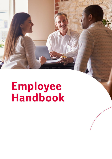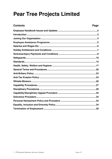# **Pear Tree Projects Limited**

## **Contents**

## Page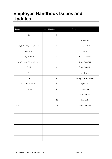## <span id="page-2-0"></span>**Employee Handbook Issues and Updates**

| <b>Pages</b>                         | <b>Issue Number</b>         | <b>Date</b>              |  |
|--------------------------------------|-----------------------------|--------------------------|--|
| $1 - 33$                             | $\boldsymbol{0}$            |                          |  |
| 19                                   | $\mathbf{1}$                | October 2006             |  |
| 1, 3, 6, 8, 9, 20, 21, 22, 24 - 32   | $\sqrt{2}$                  | February 2010            |  |
| 6, 15, 22, 29, 30, 32                | $\ensuremath{\mathfrak{Z}}$ | August 2012              |  |
| 5, 20, 24, 29, 30                    | $\overline{4}$              | November 2013            |  |
| 6, 8, 12, 16, 20, 26, 27, 28, 29, 30 | 5                           | December 2014            |  |
| 10, 15                               | $\sqrt{6}$                  | September 2015           |  |
| $\,8\,$                              | $\boldsymbol{7}$            | March 2016               |  |
| $1 - 38$                             | $\,8\,$                     | January 2019 (Re-launch) |  |
| 4, 20, 33, 34, 35, 36                | $\overline{9}$              | April 2020               |  |
| 5, 32-34                             | $10\,$                      | <b>July 2020</b>         |  |
| $\mathbf 5$                          | $11\,$                      | November 2020            |  |
| $21\,$                               | $12\,$                      | June 2021                |  |
| 19, 22                               | 13                          | September 2021           |  |
|                                      |                             |                          |  |
|                                      |                             |                          |  |
|                                      |                             |                          |  |
|                                      |                             |                          |  |
|                                      |                             |                          |  |
|                                      |                             |                          |  |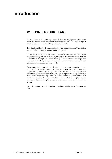## <span id="page-3-0"></span>**Introduction**

## **WELCOME TO OUR TEAM.**

We would like to wish you every success during your employment whether you recently joined us or whether you are an existing employee. We hope that your experience of working here will be positive and rewarding.

This Employee Handbook is designed both to introduce you to our Organisation and to be of continuing use during your employment.

We ask that you study carefully the contents of this Employee Handbook as, in addition to setting out our rules and regulations, it also contains information on some of the main employee benefits that may be available to you and the policies and procedures relating to your employment. If you require any clarification or additional information, please refer to HR.

Please note that we provide equal opportunities and are committed to the principle of equality in accordance with legislative provisions. We expect your support in implementing these policies. We will not condone any unlawful discriminatory act or attitude in the course of your employment or in your dealings with children or young people who attend our Organisation, their families, our suppliers, contract workers, members of the public or with fellow employees. Acts of unlawful discrimination, harassment or victimisation will result in disciplinary action.

General amendments to the Employee Handbook will be issued from time to time.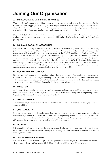# <span id="page-4-0"></span>**Joining Our Organisation**

## **A) DISCLOSURE AND BARRING CERTIFICATE(S)**

Your initial employment is conditional upon the provision of a satisfactory Disclosure and Barring Certificate of a level appropriate to your post. You may be required to undertake subsequent criminal record checks from time to time during your employment as deemed appropriate by the organisation. In the event that such certificate(s) are not supplied your employment with us will be terminated.

Data collected about criminal convictions will be processed in line with the Data Protection Act. You may read more about the data we hold on you, why we hold it and the lawful basis that applies in the employee privacy notice.

## **B) DISQUALIFICATION BY 'ASSOCIATION'**

Members of staff working in relevant child-care provisions are required to provide information concerning personal disqualification and/or if they live in the same household as a disqualified individual. Initial employment will be conditional upon the completion of the Staff Disqualification Declaration. Further checks will be carried out on a regular basis however if you or anyone in your household becomes disqualified between these checks this should be brought to the attention of your Manager. If a positive declaration is made, you will be removed from the relevant setting and Ofsted will be notified as soon as reasonably practicable. An application can be made to Ofsted to waive your disqualification but, whilst a waiver application is under consideration, you cannot work in the relevant settings. Where a waiver is not granted, employment may be terminated unless redeployment is available.

## **C) CONVICTIONS AND OFFENCES**

During your employment, you are required to immediately report to the Organisation any convictions or offences with which you are charged, including traffic offences. Data collected about criminal convictions will be processed in line with the Data Protection Act. You may read more about the data we hold on you, why we hold it and the lawful basis that applies in the employee privacy notice.

## **D) INDUCTION**

At the start of your employment you are required to attend and complete a staff induction programme at which you will be briefed on the Organisation's policies, procedures and obligations as required by current legislation. Attendance at induction sessions is mandatory.

## **E) JOB DESCRIPTION**

Amendments may be made to your job description from time to time in relation to our changing needs and your own ability.

## **F) JOB FLEXIBILITY**

It is an express condition of employment that you are prepared, whenever necessary, to transfer to alternative departments or duties within our business. During holiday periods, etc. it may be necessary for you to take over some duties normally performed by colleagues. This flexibility is essential for operational efficiency as the type and volume of work is always subject to change.

## **G) MOBILITY**

It is a condition of your employment that you are prepared, whenever applicable, to transfer/travel to any other of our sites within reasonable travelling distance as required. This mobility is essential to the smooth running of our business.

## **H) STAFF APPRAISAL SCHEME**

We have a staff appraisal scheme in place for the purpose of monitoring staff performance levels with a view to maximising the effectiveness of individuals, details of which are available separately.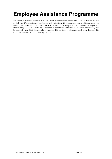# **Employee Assistance Programme**

We recognise that sometimes you may face certain challenges in your work and home life that are difficult to deal with. We subscribe to a confidential and professional life management service which provides you with a qualified counsellor who can offer personal support for any practical or emotional challenges you may be facing. The service is initially provided via telephone and online advice but face to face meetings will be arranged where this is felt clinically appropriate. This service is totally confidential. More details of this service are available from your Manager or HR.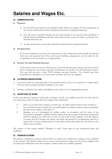## <span id="page-6-0"></span>**A) ADMINISTRATION**

## **1) Payment**

- a) For all staff the pay period is the calendar month. Salaries are paid by the last working day of the current month and overtime/commission payments are paid [Commission].
- b) You will receive a payslip showing how the total amount of your pay has been calculated. It will also show the deductions that have been made and the reasons for them, e.g. Income Tax, National Insurance, etc.
- c) Any pay queries that you may have should be raised with the Company Secretary.

#### **2) Overpayments**

If you are overpaid for any reason, the total amount of the overpayment will normally be deducted from your next payment but if this would cause hardship, arrangements may be made for the overpayment to be recovered over a longer period.

#### **3) Income Tax and National Insurance**

At the end of each tax year you will be given a form P60 showing the total pay you have received from us during that year and the amount of deductions for Income Tax and National Insurance. You may also be given a form P11D showing non-salary benefits. You should keep these documents in a safe place as you may need to produce them for tax purposes.

#### **B) LATENESS/ABSENTEEISM**

- 1) You must attend for work punctually at the specified time(s) and you are required to comply strictly with any time recording procedures relating to your work.
- 2) Lateness or absence may result in disciplinary action and/or loss of appropriate payment.

## **C) SHORTAGE OF WORK**

In the event that the Company is faced with a shortage of work, or is unable to provide you with work for any other reason, then you agree that the Company may temporarily:

- place you on short-time working, in which case you will be paid for those hours worked; or
- lay you off from work, in which case you will be paid in accordance with the statutory guarantee pay provisions in place at that time; or
- designate you as a furloughed (or similar) worker, in accordance with the terms of any Government furlough (or similar) scheme in place from time to time, in which case during such period, if required, you will cease to carry out any work for the Company. (For this purpose you agree that the Company may adjust your salary and benefits by an appropriate amount to ensure that it receives reimbursement of such salary and benefits under the said scheme to the fullest extent possible)

The entirety of this section entitled "Shortage of work" forms part of your contractual terms and conditions.

## **D) PENSION SCHEME**

We operate a contributory pension scheme which you will be auto-enrolled into (subject to the conditions of the scheme). The scheme enables you to save for your retirement using your own money, together with tax relief and contributions from the Company. Further details are available separately.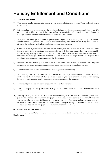# <span id="page-7-0"></span>**Holiday Entitlement and Conditions**

## **A) ANNUAL HOLIDAYS**

- 1) Your annual holiday entitlement is shown in your individual Statement of Main Terms of Employment (Form SMT).
- 2) It is our policy to encourage you to take all of your holiday entitlement in the current holiday year. We do not permit holidays to be carried forward and no payment in lieu will be made in respect of untaken holidays other than in the event of termination of your employment.
- 3) We operate an online system for booking holidays via BrightHR. You will be given the rights to request absence online and you will also be able to view your holiday entitlement online at any time. This is to give you the facility to easily plan your holidays throughout the year.
- 4) Once you have registered your holiday request online, you will receive an e-mail from your Line Manager authorising or declining your request. If you feel that your request has been unreasonably refused for any reason you should refer the matter to your Line Manager. They will endeavour to ensure that you have every opportunity to take your holidays at the time you request them, but they will need to balance your requests with the needs of the department.
- 5) Holiday dates will normally be allocated on a "first come first served" basis whilst ensuring that operational efficiency and appropriate staffing levels are maintained throughout the year.
- 6) You may not normally take more than two working weeks consecutively.
- 7) We encourage staff to take whole weeks of rather than odd days and weekends. This helps stabilise shift patterns. Each member of staff is limited to booking two weekends in any one holiday period, however special requests may be considered at the discretion of the Manager.
- 8) You should give at least six weeks of your intention to take holidays.
- 9) Your holiday pay will be at your normal basic pay unless shown otherwise on your Statement of Main Terms.
- 10) Where your employment ends, for any reason when only part of the year has been completed, your pay will be calculated to ensure that the payment which you receive equates to the actual hours that you have worked. Any shortfall in pay will be added to your final payment and any overpayment will be deducted. This calculation is also made at the end of the year and again the same adjustment based on hours worked for any overpayment and underpayment will be made.

## **B) PUBLIC/BANK HOLIDAYS**

Your entitlement to public/bank holidays is shown in your individual Statement of Main Terms of Employment.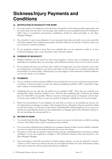## <span id="page-8-0"></span>**Sickness/Injury Payments and Conditions**

## **A) NOTIFICATION OF INCAPACITY FOR WORK**

- 1) You must notify us by telephone on the first day of incapacity at the earliest possible opportunity and by no later than your start time. Text messages and e-mails are not an acceptable method of notification. Other than in exceptional circumstances notification should be made personally, to the Duty Manager/Manager.
- 2) You should try to give some indication of your expected return date and notify us as soon as possible if this date changes. The notification procedures should be followed on each day of absence unless you are covered by a medical certificate.
- 3) If your incapacity extends to more than seven calendar days you are required to notify us of your continued incapacity once a week thereafter, unless otherwise agreed.

## **B) EVIDENCE OF INCAPACITY**

- 1) Medical certificates are not issued for short-term incapacity. In these cases of incapacity (up to and including seven calendar days) you must sign a self-certification absence form on your return to work.
- 2) If your sickness has been (or you know that it will be) for longer than seven days (whether or not, they are working days) you should see your doctor and make sure he/she gives you a medical certificate and forward this to us without delay. Subsequently you must supply us with consecutive medical certificates to cover the whole of your absence.

#### **C) PAYMENTS**

- 1) You are entitled to statutory sick pay (SSP) if you are absent for four or more consecutive days because of sickness or injury provided you meet the statutory qualifying conditions. SSP is treated like wages and is subject to normal deductions.
- 2) Qualifying days are the only days for which you are entitled to SSP. These days are normally your working days unless otherwise notified to you. The first three qualifying days of absence are waiting days for which SSP is not payable. Where a second or subsequent period of incapacity (of four days or more) occurs within 56 days of a previous period of incapacity, waiting days are not served again.
- 3) Where the circumstances of your incapacity are such that you receive or are awarded any sum by way of compensation or damages in respect of the incapacity from a third party, then any payments which we may have made to you because of the absence (including SSP) shall be repaid by you to us up to an amount not exceeding the amount of the compensation or damages paid by the third party and up to, but not exceeding, any amount paid by us.

## **D) RETURN TO WORK**

- 1) You should notify the Duty Manager/Manager as soon as you know on which day you will be returning to work, if this differs from a date of return previously notified.
- 2) If you have been suffering from an infectious or contagious disease or illness such as rubella or hepatitis you must not report for work without clearance from your own doctor.
- 3) On return to work after any period of sickness/injury absence (including absence covered by a medical certificate), you are also required to complete a self-certification absence form and send this to the Duty Manager/Manager.
- 4) Upon returning to work after any period of sickness/injury absence, you may be required to attend a "return to work" interview to discuss the state of your health and fitness for work. Information arising from such an interview will be treated with strictest confidence.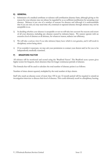#### **E) GENERAL**

- 1) Submission of a medical certificate or sickness self-certification absence form, although giving us the reason for your absence may not always be regarded by us as sufficient justification for accepting your absence. Sickness is just one of a number of reasons for absence and although it is understandable that if you are sick you may need time off, continual or repeated absence through sickness may not be acceptable to us.
- 2) In deciding whether your absence is acceptable or not we will take into account the reasons and extent of all your absences, including any absence caused by sickness/injury. We cannot operate with an excessive level of absence as all absence, for whatever reason, reduces our efficiency.
- 3) We will take a serious view if you take sickness/injury leave which is not genuine, and it will result in disciplinary action being taken.
- 4) If we consider it necessary, we may ask your permission to contact your doctor and/or for you to be independently medically examined.

#### **F) BRADFORD FACTOR**

All sickness will be monitored and scored using the 'Bradford Factor'. The Bradford score system gives higher scores for frequent, short absences than for longer continuous periods of absence.

The formula that will be used to calculate the total number of absence points is as follows:

Number of times absent squared, multiplied by the total number of days absent.

Staff who reach an absence score of more than 100 in any 12-month period will be required to attend an investigation interview to discuss their level of absence. This could ultimately result in a disciplinary hearing.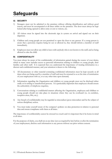## <span id="page-10-0"></span>**Safeguards**

## **A) SECURITY**

- 1) Strangers must not be admitted to the premises without offering identification and without good reason, and must be accompanied at all times whilst on the premises. The door must always be kept locked after being opened to allow entry or exit to visitors, etc.
- 2) All visitors must be signed into the electronic sign in system on arrival and signed out on their departure.
- 3) Children and young people are not permitted to open the door to any person. If a young person is aware that a person(s) requires being let out or allowed in, they should inform a member of staff immediately.
- 4) Employees must not allow any child to leave with anybody who is not known to the staff, and as being allowed to take the child.

## **B) CONFIDENTIALITY**

You must always be aware of the confidentiality of information gained during the course of your duties, which in many cases includes access to personal information relating to children or young people, their families and other staff. It is expected that you understand the importance of treating information in a discreet and confidential manner, and your attention is drawn to the following:

- 1) All documentary or other material containing confidential information must be kept securely at all times when not being used by a member of staff and must be returned to us at the time of termination of your employment with us, or at any other time upon demand;
- 2) Information regarding the Organisation and children or young people must not be disclosed either orally or in writing to unauthorised persons. It is particularly important that employees should ensure the authenticity of telephone enquiries;
- 3) Conversations relating to confidential matters affecting the Organisation, employees and children or young people should not take place in situations where they can be overheard (i.e. in corridors, reception areas, lifts, etc.);
- 4) Any breach of confidentiality may be regarded as misconduct/gross misconduct and be the subject of serious disciplinary action.
- 5) You must make yourself aware of the company's policies on data protection in relation to personal data and ensure compliance with them at all times.

The importance of confidentiality cannot be stressed too much and it is important that it be borne in mind at all times.

For the purposes of clarity, you shall not at any time (save as required by law) before or after the termination of your employment, disclose such information to any person without our prior written consent.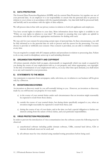## **C) DATA PROTECTION**

The General Data Protection Regulation (GDPR) and the current Data Protection Act regulate our use of your personal data. As an employer it is our responsibility to ensure that the personal data we process in relation to you is done so in accordance with the required principles. Any data held shall be processed fairly and lawfully and in accordance with the rights of data subjects.

We will process data in line with our privacy notices in relation to both job applicants and employees.

You have several rights in relation to your data. More information about these rights is available in our "Policy on your rights in relation to your data". We commit to ensuring that your rights are upheld in accordance with the law and have appropriate mechanisms for dealing with such.

We may ask for your consent for processing certain types of personal data. In these circumstances, you will be fully informed as to the personal data we wish to process and the reason for the processing. You may choose to provide or withhold your consent. Once consent is provided, you are able to withdraw consent at any time.

You are required to comply with all Company policies and procedures in relation to processing data. Failure to do so may result in disciplinary action up to and including dismissal.

## **D) ORGANISATION PROPERTY AND COPYRIGHT**

All written material, whether held on paper, electronically or magnetically which was made or acquired by you during the course of your employment with us, is our property and, where appropriate, our copyright. At the time of termination of your employment with us, or at any other time upon demand, you shall return to us any such material in your possession.

## **E) STATEMENTS TO THE MEDIA**

Any statements to reporters from newspapers, radio, television, etc. in relation to our business will be given only by a Director.

## **F) INVENTIONS/DISCOVERIES**

An invention or discovery made by you will normally belong to you. However, an invention or discovery made by you will become our property if it was made:

- a) in the course of your normal duties under such circumstances that an invention might reasonably be expected to result from those duties;
- b) outside the course of your normal duties, but during duties specifically assigned to you, when an invention might reasonably be expected to result from these; and
- c) during the course of any of your duties, and at the time you had a special obligation to further our interests arising from the nature of those duties, and your particular responsibilities.

## **G) VIRUS PROTECTION PROCEDURES**

In order to prevent the introduction of virus contamination into the software system the following must be observed:

- a) unauthorised software including public domain software, USBs, external hard drives, CDs or internet downloads must not be used; and
- b) all software must be virus checked using standard testing procedures before being used.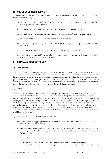#### **H) USE OF COMPUTER EQUIPMENT**

In order to control the use of the Organisation's computer equipment and reduce the risk of contamination the following will apply:

- a) the introduction of new software must first of all be checked and authorised by the Head Office before general use will be permitted;
- b) only authorised staff should have access to the Organisation's computer equipment;
- c) only authorised software may be used on any of the Organisation's computer equipment;
- d) only software that is used for business applications may be used;
- e) no software may be brought onto or taken from the Organisation's premises without prior authorisation;
- f) unauthorised access to the computer facility will result in disciplinary action; and
- g) unauthorised copying and/or removal of computer equipment/software will result in disciplinary action; such actions could lead to dismissal.

## **I) E-MAIL AND INTERNET POLICY**

#### **1) Introduction**

The purpose of the Internet and E-mail policy is to provide a framework to ensure that there is continuity of procedures in the usage of Internet and e-mail within the Organisation. The internet and e-mail system have established themselves as an important communications facility within the Organisation and have provided us with contact with professional and academic sources throughout the world. Therefore, to ensure that we are able to utilise the system to its optimum we have devised a policy that provides maximum use of the facility whilst ensuring compliance with the legislation throughout.

## **2) Internet**

Where appropriate, duly authorised staff are encouraged to make use of the Internet as part of their official and professional activities. Attention must be paid to ensuring that published information has relevance to normal professional activities before material is released in the Organisation's name. Where personal views are expressed a disclaimer stating that this is the case should be clearly added to all correspondence. The intellectual property right and copyright must not be compromised when publishing on the Internet. The availability and variety of information on the Internet has meant that it can be used to obtain material reasonably considered to be offensive. The use of the Internet to access and/or distribute any kind of offensive material, or material that is not work-related, leaves an individual liable to disciplinary action which could lead to dismissal.

#### **3) Procedures – Acceptable/Unacceptable Use**

- a) Unauthorised or inappropriate use of the internet system may result in disciplinary action which could result in summary dismissal.
- b) The internet system is available for legitimate business use and matters concerned directly with the job being done. Employees using the internet system should give particular attention to the following points:
	- i) comply with all of our internet standards;
	- ii) private use of the internet should be used outside of your normal working hours;
	- iii) you should not access websites which put our internet at risk of (but not limited to) viruses,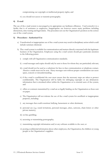compromising our copyright or intellectual property rights; and

iv) you should not access or transmit pornography.

#### **4) E-mail**

The use of the e-mail system is encouraged as its appropriate use facilitates efficiency. Used correctly it is a facility that is of assistance to employees. Inappropriate use however causes many problems including distractions, time wasting and legal claims. The procedure sets out the Organisation's position on the correct use of the e-mail system.

#### **5) Procedures - Authorised Use**

- a) Unauthorised or inappropriate use of the e-mail system may result in disciplinary action which could include summary dismissal.
- b) The e-mail system is available for communication and matters directly concerned with the legitimate business of the Organisation. Employees using the e-mail system should give particular attention to the following points:
	- i) comply with all Organisation communication standards;
	- ii) e-mail messages and copies should only be sent to those for whom they are particularly relevant;
	- iii) e-mail should not be used as a substitute for face-to-face communication or telephone contact. Abusive e-mails must not be sent. Hasty messages sent without proper consideration can cause upset, concern or misunderstanding;
	- iv) if the e-mail is confidential the user must ensure that the necessary steps are taken to protect confidentiality. The Organisation will be liable for infringing copyright or any defamatory information that is circulated either within the Organisation or to external users of the system; and
	- v) offers or contracts transmitted by e-mail are as legally binding on the Organisation as those sent on paper.
	- c) The Organisation will not tolerate the use of the e-mail system for unofficial or inappropriate purposes, including:
	- i) any messages that could constitute bullying, harassment or other detriment;
	- ii) personal use (e.g. social invitations, personal messages, jokes, cartoons, chain letters or other private matters);
	- iii) on-line gambling;
	- iv) accessing or transmitting pornography;
	- v) transmitting copyright information and/or any software available to the user; or
	- vi) posting confidential information about other employees, the Organisation, the children or young people or the Organisation's suppliers.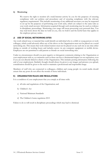#### **6) Monitoring**

We reserve the right to monitor all e-mail/internet activity by you for the purposes of ensuring compliance with our policies and procedures and of ensuring compliance with the relevant regulatory requirements. This includes monitoring of any additional accounts you may be requested to set up for the purposes of performing your work tasks, which are subject to the same rules as your work email account. Information acquired through such monitoring may be used as evidence in disciplinary proceedings. Monitoring your usage will mean processing your personal data. You may read more about the data we hold on you, why we hold it and the lawful basis that applies in the employee privacy notice.

## **J) USE OF SOCIAL NETWORKING SITES**

Any work related issue or material that could identify an individual who is a child or young person or work colleague, which could adversely affect any of the above or the Organisation must not be placed on a social networking site. This means that work related matters must not be placed on any such site at any time either during or outside of working hours and includes access via any computer equipment or mobile device. Employees are not permitted to add parents as friends on social networking sites.

Under no circumstances should you post negative or derogatory comments relating to the Organisation or your employment with us, as comments such as these can have a detrimental impact on our reputation, even if you are not directly linked to clients of the Organisation. This includes posting information following the end of your employment. Similarly thought should always be given to any images and pictures you upload, consideration should be given to the need to maintain a professional and responsible image.

Members of staff who are connected to colleagues, children and young people via social media should ensure that any posts do not affect the morale of those individuals.

#### **K) ORGANISATION RULES AND REGULATIONS**

It is a condition of your employment that you comply at all times with:

- a) all rules and regulations of the Organisation; and
- b) Children's Act
- c) National Minimum Standards
- d) The Children's home regulation 2015

Failure to do so will result in disciplinary proceedings which may lead to dismissal.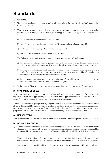## <span id="page-15-0"></span>**Standards**

## **A) WASTAGE**

- 1) We maintain a policy of "minimum waste" which is essential to the cost-effective and efficient running of our Organisation.
- 2) You are able to promote this policy by taking extra care during your normal duties by avoiding unnecessary or extravagant use of services, time, energy, etc. The following points are illustrations of this:
	- a) handle machines, equipment and stock with care;
	- b) turn off any unnecessary lighting and heating. Keep doors closed whenever possible;
	- c) ask for other work if your job has come to a standstill; and
	- d) start with the minimum of delay after arriving for work
- 3) The following provision is an express written term of your contract of employment:
	- a) Any damage to vehicles, stock or property that is the result of your carelessness, negligence or deliberate vandalism will render you liable to pay the full or part of the cost of repair or replacement;
	- b) Any loss to us that is the result of your failure to observe rules, procedures or instruction, or is as a result of your negligent behaviour or your unsatisfactory standards of work will render you liable to reimburse to us the full or part of the cost of the loss; and
	- c) In the event of an at fault accident whilst driving one of our vehicles you may be required to pay the cost of the insurance excess up to a maximum of  $f(250)$ .
- 4) In the event of failure to pay, we have the contractual right to deduct such costs from your pay.

## **B) STANDARDS OF DRESS**

As you are liable to come into contact with children and young people and members of the public, it is important that you dress appropriately to your role at all times. Appropriate footwear should be worn at all times. Provocative clothing should not be worn under any circumstances.

You should wear clothes appropriate for your job responsibilities, and they should be kept clean and tidy at all times. Hair should be clean and tidy, if a colour is used this must only be natural tones. Inappropriate tattoos and body art should be covered and not on display whilst on duty, when in the company of young people cared for by Pear Tree Projects and whilst attending any company facilities or events.

## **C) HOUSEKEEPING**

Both from the point of view of safety and of appearance, work areas must be kept clean and tidy at all times.

## **D) BEHAVIOUR AT WORK**

- 1) You should behave with civility towards fellow employees, and no rudeness will be permitted towards children or young people who attend our Organisation, their families or other members of the public. Objectionable or insulting behaviour, or bad language will render you liable to disciplinary action.
- 2) You should use your best endeavours to promote the interests of the business and shall, during normal working hours, devote the whole of your time, attention and abilities to the Organisation and its affairs.
- 3) Any involvement in activities which could be construed as being in competition with us is not allowed.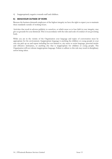4) Inappropriately negative towards staff and children.

## **E) BEHAVIOUR OUTSIDE OF WORK**

Because the business demands employees of the highest integrity we have the right to expect you to maintain these standards outside of working hours.

Activities that result in adverse publicity to ourselves, or which cause us to lose faith in your integrity, may give us grounds for your dismissal. This is in accordance with the rules and code of conduct of our governing body.

While you are in the vicinity of the Organisation your language and topics of conversation must be appropriate for the environment. Inappropriate language is anything the children or young people in your care can pick up on and repeat including but not limited to, any racist or sexist language, personal insults and offensive nicknames, or anything else that is inappropriate for children or young people. The Organisation will not tolerate inappropriate language. Failure to adhere to this rule may result in disciplinary action being taken.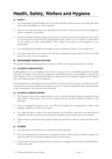## <span id="page-17-0"></span>**Health, Safety, Welfare and Hygiene**

## **A) SAFETY**

- 1) You should make yourself familiar with our Health and Safety Policy and your own health and safety duties and responsibilities, as shown separately.
- 2) You must not take any action that could threaten the health or safety of yourself, other employees, clients or members of the public.
- 3) Protective clothing and other equipment which may be issued for your protection because of the nature of your job must be worn and used at all appropriate times. Failure to do so could be a contravention of your health and safety responsibilities. Once issued, this protective wear/equipment is your responsibility.
- 4) You should report all accidents and injuries at work, no matter how minor, in an accident form.
- 5) You must ensure that you are aware of our fire and evacuation procedures and the action you should take in the event of such an emergency.

## **B) REFRESHMENT MAKING FACILITIES**

We provide refreshment making facilities for your use, which must be kept clean and tidy at all times.

## **C) ALCOHOL & DRUGS POLICY**

Under legislation we, as your employer, have a duty to ensure so far as is reasonably practicable, the health and safety and welfare at work of all our employees and similarly you have a responsibility to yourself and your colleagues. The use of alcohol and drugs may impair the safe and efficient running of the business and/or the health and safety of our employees.

If your performance or attendance at work is affected as a result of alcohol or drugs, or we believe you have been involved in any drug related action/offence, you may be subject to disciplinary action and, dependent on the circumstances, this may lead to your dismissal.

## **D) ALCOHOL & DRUGS TESTING**

- 1) The Company reserve the contractual right to carry out alcohol and drug testing on employees during their normal working hours. These tests are random and do not imply suspicion in relation to any individual.
- 2) If you are required to submit to a test, you will have the right to be accompanied by a fellow work colleague available at the time of the request.
- 3) You retain the right to refuse to be tested, however, you should be aware that your refusal may be regarded as breach of contract which may lead to disciplinary action and result in your dismissal.
- 4) All personal data collected for this purpose will be processed in line with the current Data Protection Act.

## **E) HYGIENE**

- 1) Any exposed cut or burn must be covered with a first-aid dressing.
- 2) If you are suffering from an infectious or contagious disease or illness such as rubella or hepatitis you must not report for work without clearance from your own doctor.
- 3) Contact with any person suffering from an infectious or contagious disease must be reported before commencing work.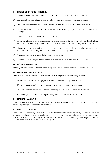#### **F) HYGIENE FOR FOOD HANDLERS**

- 1) You must wash your hands immediately before commencing work and after using the toilet.
- 2) Any cut or burn on the hand or arm must be covered with an approved visible dressing.
- 3) Head or beard coverings and overalls/uniforms, where provided, must be worn at all times.
- 4) No jewellery should be worn, other than plain band wedding rings, without the permission of a Manager.
- 5) You should not wear excessive amounts of make-up.
- 6) If you are suffering from an infectious or contagious disease or illness, or have a bowel disorder, boils, skin or mouth infection, you must not report for work without clearance from your own doctor.
- 7) Contact with any person suffering from an infectious or contagious disease must be reported and you must have clearance from your own doctor before commencing work.
- 8) You must report to a Manager before commencing work.
- 9) You must ensure that you strictly comply with our hygiene rules and regulations at all times.

## **G) NO SMOKING POLICY**

Smoking on the premises is not permitted at any time. This includes e-cigarettes and heated tobacco.

#### **H) ORGANISATION HAZARDS**

Staff should be aware of the following hazards when caring for children or young people:

- a) The use of any electrical equipment, cooker, kettles and trailing wires or cables;
- b) Broken equipment/toys these should be removed for repair or replacement;
- c) Items left lying around which children or young people could pull down on themselves; or
- d) Doors, gate, fire exits left open particularly those that lead to the car park or stairs.

## **I) MANUAL HANDLING**

You are required, in accordance with the Manual Handling Regulations 1992, to advise us of any condition which may make you more vulnerable to injury.

## **J) FITNESS FOR WORK**

If you arrive for work and, in our opinion, you are not fit to work, we reserve the right to exercise our duty of care if we believe that you may not be able to undertake your duties in a safe manner or may pose a safety risk to others, and send you away for the remainder of the day with or without pay and, dependent on the circumstances, you may be liable to disciplinary action.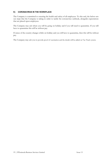## **K) CORONAVIRUS IN THE WORKPLACE**

The Company is committed to ensuring the health and safety of all employees. To this end, the below sets out steps that the Company is taking in order to tackle the coronavirus outbreak, alongside expectations that are placed upon employees.

The Company may ask where you will be going on holiday and if you will need to quarantine. If you will have to quarantine this will be without pay.

If status of the country changes whilst on holiday and you will have to quarantine, then this will be without pay.

The Company may ask you to provide proof of vaccination and the details will be added on Vac Track system.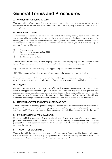## <span id="page-20-0"></span>**General Terms and Procedures**

## **A) CHANGES IN PERSONAL DETAILS**

You must notify us of any change of name, address, telephone number, etc., so that we can maintain accurate information on our records and make contact with you in an emergency, if necessary, outside normal working hours.

## **B) OTHER EMPLOYMENT**

You are expected to devote the whole of your time and attention during working hours to our business. If you propose taking up employment with an employer or pursuing separate business interests or any similar venture, you must discuss the proposal with the Managing Director in order to establish the likely impact of these activities on both yourself and the Company. You will be asked to give full details of the proposal and consideration will be given to:

- 1) Working hours;
- 2) Competition, reputation and credibility;
- 3) Conflict of Interest;
- 4) Health, safety and welfare.

You will be notified in writing of the Company's decision. The Company may refuse to consent to your request. If you work without consent this could result in the termination of your employment. \*

If you are unhappy with the decision you may appeal using the Grievance Procedure.

\*NB: This does not apply to those on a zero-hour contract who should refer to the following:

If you already have any other employment or are considering any additional employment you must notify us so that we can discuss any implications arising from the current working time legislation.

## **C) TIME OFF**

Circumstances may arise where you need time off for medical/dental appointments, or for other reasons. Proof of the appointment should be provided to the Duty Manager if requested. Where possible, such appointments should be made outside normal working hours. If this is not possible, time off required for these purposes may be granted at the discretion of the Duty Manager and will normally be with pay. Depending on the length of time off needed, you may at our discretion be able to make up the time.

## **D) MATERNITY/PATERNITY/ADOPTION LEAVE AND PAY**

You may be entitled to maternity/paternity/adoption leave and pay in accordance with the current statutory provisions. If you (or your partner) become pregnant or are notified of a match date for adoption purposes, you should notify HR at an early stage so that your entitlements and obligations can be explained to you.

## **E) PARENTAL/SHARED PARENTAL LEAVE**

If you are entitled to take parental leave or shared parental leave in respect of the current statutory provisions, you should discuss your needs with HR who will identify your entitlements and look at the proposed leave periods dependent upon your child's/children's particular circumstances and the operational aspects of the business.

## **F) TIME OFF FOR DEPENDANTS**

You may be entitled to take a reasonable amount of unpaid time off during working hours to take action that is necessary to provide help to your dependants. Should this be necessary you should discuss your situation with HR who, if appropriate, will agree the necessary time off.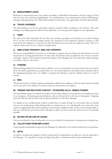## **G) BEREAVEMENT LEAVE**

Reactions to bereavement may vary greatly according to individual circumstances and the setting of fixed rules for time off is therefore inappropriate. You should discuss your circumstances with the HR Manager and agree appropriate time off, which will normally be without pay. Any agreed time off will be discretionary.

#### **H) TRAVEL EXPENSES**

We will reimburse you for any reasonable expenses incurred whilst travelling on our business. The rules relating to travelling expenses will be issued separately. You must provide receipts for any expenditure.

#### **I) FINES**

We will not be held responsible for any fines (e.g. parking, speeding etc.) incurred by you whilst working for us. In the event that the Company receive the summons on the employee's behalf or owing to a fine incurred by the employee, we may pay the fine and deduct the cost from the employee's salary. This is an express written term of your contract of employment.

#### **J) EMPLOYEES' PROPERTY AND LOST PROPERTY**

We do not accept liability for any loss of, or damage to, property that you bring onto the premises. You are requested not to bring personal items of value onto the premises and, in particular, not to leave any items overnight. Articles of lost property should be handed to the Manager who will retain them whilst attempts are made to discover the owner.

## **K) PARKING**

Where parking facilities have been made available to you on our premises you must ensure that you observe all of our traffic requirements e.g. speed limits, etc. To avoid congestion, all vehicles must be parked only in the designated parking areas. No liability is accepted for damage to private vehicles, however it may be caused.

#### **L) MAIL**

All mail received by us will be opened, including that addressed to employees. Private mail, therefore, should not be sent care of our address. No private mail may be posted at our expense.

#### **M) FRIENDS AND RELATIVES CONTACT / TELEPHONE CALLS / MOBILE PHONES**

You should discourage your friends and relatives from either calling on you in person or by telephone except in an emergency. Incoming personal telephone calls are allowed only in the case of emergency. Outgoing personal calls can only be made with the prior permission of the Duty Manager.

It is illegal to use a mobile phone without a hands-free set whilst driving. It is our policy that you should not use any mobile phone whilst driving without a hands-free set. You should pull over to the side of the road in an appropriate place before making or receiving any telephone calls. In the event of being unable to pick up a call because you cannot find a safe place to park, you must return the call as soon as conveniently possible.

#### **N) BUYING OR SELLING OF GOODS**

You are not allowed to buy or sell goods on your own behalf on our premises or during your working hours.

#### **O) COLLECTIONS FROM EMPLOYEES**

Unless specific authorisation is given by the Manager no collections of any kind are allowed on our premises.

## **P) GIFTS**

In order to maintain the integrity of both yourself and the Organisation any gifts etc. must be disclosed to the Manager. You should not accept any high value gifts or invitations without prior authorisation.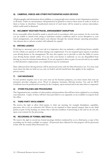## **Q) CAMERAS, VIDEOS AND OTHER PHOTOGRAPHIC/AUDIO DEVICES**

All photographs and information about children or young people must remain on the Organisation premises at all times. Under no circumstances will permission be granted to remove these items in order to work on them at home or elsewhere. Unauthorised removal of such items will be treated as serious misconduct, which could result in dismissal.

## **R) INCLEMENT WEATHER/TRAVEL ARRANGEMENT DISRUPTION**

Every reasonable effort should be made to attend work in accordance with your contract. In the event that you are unable to attend work owing to inclement weather conditions and/or severe disruption to your travel arrangements, you should report your absence through the normal absence reporting procedures. Any absence due to adverse weather will ordinarily be unpaid.

## **S) DRIVING LICENCE**

If driving is a necessary, part of your role it is imperative that you maintain a valid driving licence suitable for the vehicle you operate at all times during your employment. You are required upon request to produce your driving licence to the management. We may also require you to provide us with the ability to access your driving licence details online. If at any time your licence is endorsed, or you are disqualified from driving, we must be informed immediately. If you are required to drive as part of your job and we are unable to find alternative employment, your employment may be terminated.

Data collected about driving licences will be processed in line with the Data Protection Act. You may read more about the data we hold on you, why we hold it and the lawful basis that applies in the employee privacy notice.

## **T) CAR INSURANCE**

If your position requires you to use your own car for business purposes, you must ensure that your car insurance provides adequate cover. Proof of adequate insurance, Driving Licence, Tax and an MOT Certificate must be produced for scrutiny by the Company, upon renewal and at any time when so requested.

## **U) OTHER POLICIES AND PROCEDURES**

The Organisation has a number of other policies and procedures that will have been explained to you during your induction. Copies of these will have been provided to you separately or are available on request from the office.

## **V) THIRD PARTY INVOLVEMENT**

We reserve the right to allow third parties to chair any meeting, for example disciplinary, capability, grievance, this is not an exhaustive list. Where we are required to share special category data to any third parties as part of that hearing, we ensure that a relevant condition of processing is met and we do not rely upon your consent for the processing.

## **W) RECORDING OF FORMAL MEETINGS**

We reserve the right to record any formal meetings whether conducted by us or a third party, a copy of the recording can be made available on request. All personal data collected for this purpose will be processed in line with the current Data Protection Act.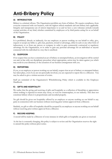# <span id="page-23-0"></span>**Anti-Bribery Policy**

## **A) INTRODUCTION**

Bribery is a criminal offence. The Organisation prohibits any form of bribery. We require compliance, from everyone connected with our business, with the highest ethical standards and anti-bribery laws applicable. Integrity and transparency are of utmost importance to us and we have a zero tolerance attitude towards corrupt activities of any kind, whether committed by employees or by third parties acting for or on behalf of the Organisation.

## **B) POLICY**

It is prohibited, directly or indirectly, for any employee or person working on our behalf to offer, give, request or accept any bribe i.e. gift, loan, payment, reward or advantage, either in cash or any other form of inducement, to or from any person or company in order to gain commercial, contractual or regulatory advantage for the Organisation, or in order to gain any personal advantage for an individual or anyone connected with the individual in a way that is unethical.

## **C) SUSPICION**

If we suspect that you have committed an act of bribery or attempted bribery, an investigation will be carried out and, in line with our disciplinary procedure where appropriate, action may be taken against you which may result in your dismissal, or the cessation of our business arrangement with you.

## **D) REPORTING**

If you, as an employee or person working on our behalf, suspect that an act of bribery or attempted bribery has taken place, even if you are not personally involved, you are expected to report this to a Director. You may be asked to give a written account of events.

Staff are reminded of the Organisation's Whistleblowing Policy which is available in this Employee Handbook.

## **E) GIFTS AND HOSPITALITY**

We realise that the giving and receiving of gifts and hospitality as a reflection of friendship or appreciation where nothing is expected in return may occur, or even be commonplace, in our industry. This does not constitute bribery where it is proportionate and recorded properly.

No gift should be given nor hospitality offered by an employee or anyone working on our behalf to any party in connection with our business without receiving prior written approval from a Director.

Similarly, no gift or offer of hospitality should be accepted by an employee or anyone working on our behalf without receiving prior written approval from a Director.

## **F) RECORD KEEPING**

A record will be made by a Director of every instance in which gifts or hospitality are given or received.

As the law is constantly changing, this policy is subject to review and the Organisation reserves the right to amend this policy without prior notice.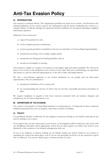## <span id="page-24-0"></span>**Anti-Tax Evasion Policy**

## **A) INTRODUCTION**

Tax evasion is a criminal offence. The Organisation prohibits any form of tax evasion. Involvement in the criminal facilitation of tax evasion exposes the Organisation and the person facilitating the evasion to a criminal offence. It will also damage our reputation and the confidence of our parents/guardians, suppliers and business partners.

Indicators of tax evasion are: -

- a) request for payment by cash;
- b) overly-complex payment mechanisms;
- c) services/goods provided to jurisdictions that do not subscribe to Common Reporting Standards;
- d) transactions involving overly complex supply chains;
- e) transactions involving private banking facilities; and/or
- f) records are incomplete or missing.

Our position is simple: we conduct our business to the highest legal and ethical standards. We will not be party to tax evasion or the facilitation of tax evasion of any form. Such acts would damage our reputation and expose us, and our staff and representatives, to the risk of fines and imprisonment.

We take a zero-tolerance approach to tax evasion facilitation by our people and our third party representatives. We are committed to:

- a) rejecting the facilitation of tax evasion; and
- b) not recommending the services of others who do not have reasonable prevention procedures in place.

We require compliance in regards to this from everyone connected with our business. Integrity and transparency are of utmost importance to us.

#### **B) DEFINITIONS OF TAX EVASION**

Tax evasion is the practice of using illegal methods to avoid paying tax. It frequently involves contrived, artificial transactions that serve no purpose other than to reduce tax liability.

## **C) POLICY**

It is prohibited, directly or indirectly, for any employee or person working on our behalf to take part in any activity relating to tax evasion.

If we suspect that you have taken part in such activity, an investigation will be carried out and, in line with our disciplinary procedure where appropriate, action may be taken against you which may result in your dismissal, or the cessation of our business arrangement with you.

If you, as an employee or person working on our behalf, suspect any activity related to tax evasion or attempted tax evasion has taken place, even if you are not personally involved, you are expected to report this to a Director. You may be asked to give a written account of events.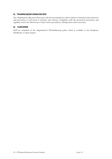#### **D) TRAINING/MONITORING/REVIEW**

The Organisation will ensure that it gives all relevant training for staff in relation to financial crime detection and prevention, it will ensure it monitors and enforces compliance with the prevention procedures and regularly review the effectiveness of prevention procedures, refining them where necessary.

## **E) CONCERNS**

Staff are reminded of the Organisation's Whistleblowing policy which is available in this Employee Handbook, or upon request.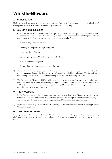## <span id="page-26-0"></span>**Whistle-Blowers**

## **A) INTRODUCTION**

Under certain circumstances, employees are protected from suffering any detriment or termination of employment if they make disclosures about Organisations for whom they work.

## **B) QUALIFYING DISCLOSURES**

- 1) Certain disclosures are prescribed by law as "qualifying disclosures". A "qualifying disclosure" means a disclosure of information that the employee genuinely and reasonably believes is in the public interest and shows that the Organisation has committed a "relevant failure" by:
	- a) committing a criminal offence;
	- b) failing to comply with a legal obligation;
	- c) a miscarriage of justice;
	- d) endangering the health and safety of an individual;
	- e) environmental damage; or
	- f) concealing any information relating to the above.
- 2) These acts can be in the past, present or future, so that, for example, a disclosure qualifies if it relates to environmental damage that has happened, is happening, or is likely to happen. The Organisation will take any concerns that you may raise relating to the above matters very seriously.
- 3) The Employment Rights Act 1996 provides protection for workers who 'blow the whistle' where they reasonably believe that some form of illegality, injustice or breach of health and safety has occurred or is likely to occur. The disclosure has to be "in the public interest". We encourage you to use the procedure to raise any such concerns.

## **C) THE PROCEDURE**

- 1) In the first instance you should report any concerns you may have to a Director who will treat the matter with complete confidence. If you are not satisfied with the explanation or reason given to you, you should raise the matter with the appropriate official Organisation or regulatory body.
- 2) If you do not report your concerns to a Director, you should take them direct to the appropriate Organisation or body.

## **D) TREATMENT BY OTHERS**

Bullying, harassment or any other detrimental treatment afforded to a colleague who has made a qualifying disclosure is unacceptable. Anyone found to have acted in such a manner will be subject to disciplinary action.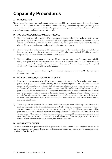# <span id="page-27-0"></span>**Capability Procedures**

## **A) INTRODUCTION**

We recognise that during your employment with us your capability to carry out your duties may deteriorate. This can be for a number of reasons, the most common ones being that either the job changes over a period of time and you fail to keep pace with the changes, or you change (most commonly because of health reasons) and you can no longer cope with the work.

## **B) JOB CHANGES/GENERAL CAPABILITY ISSUES**

- 1) If the nature of your job changes or if we have general concerns about your ability to perform your job, we will try to ensure that you understand the level of performance expected of you and that you receive adequate training and supervision. Concerns regarding your capability will normally first be discussed in an informal manner and you will be given time to improve.
- 2) If your standard of performance is still not adequate you will be warned in writing that a failure to improve and to maintain the performance required could lead to your dismissal. We will also consider the possibility of a transfer to more suitable work if possible.
- 3) If there is still no improvement after a reasonable time and we cannot transfer you to more suitable work, or if your level of performance has a serious or substantial effect on our Organisation or reputation, you will be issued with a final warning that you will be dismissed unless the required standard of performance is achieved and maintained.
- 4) If such improvement is not forthcoming after a reasonable period of time, you will be dismissed with the appropriate notice.

## **C) PERSONAL CIRCUMSTANCES/HEALTH ISSUES**

- 1) Personal circumstances may arise which do not prevent you from attending for work but which prevent you from carrying out your normal duties (e.g. a lack of dexterity or general ill health). If such a situation arises, we will normally need to have details of your medical diagnosis and prognosis so that we have the benefit of expert advice. Under normal circumstances this can be most easily obtained by asking your own doctor for a medical report. Your permission is needed before we can obtain such a report and we will expect you to co-operate in this matter should the need arise. When we have obtained as much information as possible regarding your condition and after consultation with you, a decision will be made about your future employment with us in your current role or, where circumstances permit, in a more suitable role.
- 2) There may also be personal circumstances which prevent you from attending work, either for a prolonged period(s) or for frequent short absences. Under these circumstances we will need to know when we can expect your attendance record to reach an acceptable level. This may again mean asking your own doctor for a medical report or by making whatever investigations are appropriate in the circumstances. When we have obtained as much information as possible regarding your condition, and after consultation with you, a decision will be made about your future employment with us in your current role or, where circumstances permit, in a more suitable role.

## **D) SHORT SERVICE STAFF**

We retain discretion in respect of the capability procedures to take account of your length of service and to vary the procedures accordingly. If you have a short amount of service, you may not be in receipt of any warnings before dismissal.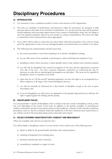## <span id="page-28-0"></span>**Disciplinary Procedures**

## **A) INTRODUCTION**

- 1) It is necessary to have a minimum number of rules in the interests of the Organisation.
- 2) The rules set standards of performance and behaviour whilst the procedures are designed to help promote fairness and order in the treatment of individuals. It is our aim that the rules and procedures should emphasise and encourage improvement in the conduct of individuals, where they are failing to meet the required standards, and not be seen merely as a means of punishment. We reserve the right to amend these rules and procedures where appropriate.
- 3) Every effort will be made to ensure that any action taken under this procedure is fair, with you being given the opportunity to state your case and appeal against any decision that you consider to be unjust.
- 4) The following rules and procedures should ensure that:
	- a) the correct procedure is used when requiring you to attend a disciplinary hearing;
	- b) you are fully aware of the standards of performance, action and behaviour required of you;
	- c) disciplinary action, where necessary, is taken speedily and in a fair, uniform and consistent manner;
	- d) you will only be disciplined after careful investigation of the facts and the opportunity to present your side of the case. On some occasions temporary suspension on contractual pay may be necessary in order that an uninterrupted investigation can take place. This must not be regarded as disciplinary action or a penalty of any kind;
	- e) other than for an "off the record" informal reprimand, you have the right to be accompanied by a fellow employee at all stages of the formal disciplinary process;
	- f) you will not normally be dismissed for a first breach of discipline, except in the case of gross misconduct; and
	- g) if you are disciplined, you will receive an explanation of the penalty imposed and you will have the right to appeal against the finding and the penalty.

## **B) DISCIPLINARY RULES**

 It is not practicable to specify all disciplinary rules or offences that may result in disciplinary action, as they may vary depending on the nature of the work. In addition to the specific examples of unsatisfactory conduct, misconduct and gross misconduct shown in this handbook, a breach of other specific conditions, procedures, rules etc. that are contained within this handbook or that have otherwise been made known to you, will also result in this procedure being used to deal with such matters.

## **C) RULES COVERING UNSATISFACTORY CONDUCT AND MISCONDUCT**

(These are examples only and not an exhaustive list.)

You will be liable to disciplinary action if you are found to have acted in any of the following ways:

- a) failure to abide by the general health and safety rules and procedures;
- b) smoking in designated non-smoking areas;
- c) persistent absenteeism and/or lateness;
- d) unsatisfactory standards or output of work;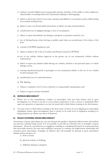- e) rudeness towards children and young people, parents, members of the public or other employees, objectionable or insulting behaviour, harassment, bullying or bad language;
- f) failure to devote the whole of your time, attention and abilities to our business and its affairs during your normal working hours;
- g) failure to carry out all reasonable instructions or follow our rules and procedures;
- h) unauthorised use or negligent damage or loss of our property;
- i) failure to report immediately any damage to property or premises caused by you;
- j) loss of driving licence where driving on public roads forms an essential part of the duties of the post;
- k) a breach of SCSWIS regulations; and
- l) failure to abide by the Code of Conduct and Practice issued by OFSTED**.**
- m) use of our vehicles without approval or the private use of our commercial vehicles without authorisation;
- n) failure to report any incident whilst driving our vehicles, whether or not personal injury or vehicle damage occurs;
- o) carrying unauthorised goods or passengers in our commercial vehicles or the use of our vehicles for personal gain; and
- p) unauthorised use of e-mail and internet.
- q) Play fighting;
- r) Failure to maintain a level of care consistent to young people's programmes; and
- s) Failure to report concerns identified.

#### **D) SERIOUS MISCONDUCT**

- 1) Where one of the unsatisfactory conduct or misconduct rules has been broken and if, upon investigation, it is shown to be due to your extreme carelessness or has a serious or substantial effect upon our operation or reputation, you may be issued with a final written warning in the first instance.
- 2) You may receive a final written warning as the first course of action, if, in an alleged gross misconduct disciplinary matter, upon investigation, there is shown to be some level of mitigation resulting in it being treated as an offence just short of dismissal.

#### **E) RULES COVERING GROSS MISCONDUCT**

Occurrences of gross misconduct are very rare because the penalty is dismissal without notice and without any previous warning being issued. It is not possible to provide an exhaustive list of examples of gross misconduct. However, any behaviour or negligence resulting in a fundamental breach of contractual terms that irrevocably destroys the trust and confidence necessary to continue the employment relationship will constitute gross misconduct. Examples of offences that will normally be deemed as gross misconduct include serious instances of:

- a) theft or fraud;
- b) physical violence or bullying;
- c) deliberate damage to property;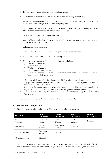- d) deliberate acts of unlawful discrimination or harassment;
- e) consumption of alcohol on the premises prior to and/or during hours of duty;
- f) possession, or being under the influence, of drugs\* at work and/or testing positive for drug use in a random sample drug test in line with our policy; and

\*For this purpose, the term 'drugs' is used to describe **both** illegal drugs and other psychoactive (mind-altering) substances which may or may not be illegal.

- g) a serious breach of OFSTED regulations; and
- h) breach of health and safety rules that endangers the lives of, or may cause serious injury to, employees or any other person.
- i) Maltreatment of service users;
- j) Failure to report an incident of abuse, or suspected abuse of service user;
- k) Abandoning duty without notification or sleeping duty;
- l) Wilful misrepresentation at the time of appointment including:
	- 1) Previous positions held
	- 2) Qualifications held
	- 3) Falsification of identity
	- 4) Declaration of health conditions
	- 5) Failure to disclose a criminal conviction/caution within the provisions of the Rehabilitation of Offenders act;
- m) Deliberate disclosure of privileged confidential information to unauthorised people;
- n) Negligent or deliberate failure to comply with the requirements of the organisation's policy & procedure concerning medicines;
- o) Working whilst contravening an enactment, or breach of rules laid down by statutory bodies;
- p) Any act or omission constituting serious or gross negligence/or dereliction of duty;
- q) Serious failure to abide by the Code of Conduct and Practice issued by the General Social Care Council.

(The above examples are illustrative and do not form an exhaustive list.)

#### **F) DISCIPLINARY PROCEDURE**

1) Disciplinary action taken against you will be based on the following procedure:

| <b>OFFENCE</b>            | <b>FIRST</b><br><b>OCCASION</b> | <b>SECOND</b><br><b>OCCASION</b> | <b>THIRD</b><br><b>OCCASION</b> | <b>FOURTH</b><br><b>OCCASION</b> |
|---------------------------|---------------------------------|----------------------------------|---------------------------------|----------------------------------|
| Unsatisfactory<br>Conduct | Formal verbal<br>warning        | Written<br>Warning               | Final written<br>warning        | Dismissal                        |
| Misconduct                | Written<br>Warning              | Final written<br>Warning         | Dismissal                       |                                  |
| Serious misconduct        | Final written<br>warning        | Dismissal                        |                                 |                                  |
|                           |                                 |                                  |                                 |                                  |

Gross misconduct Dismissal

2) We retain discretion in respect of the disciplinary procedures to take account of your length of service and to vary the procedures accordingly. If you have a short amount of service, you may not be in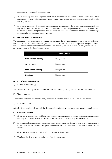receipt of any warnings before dismissal.

- 3) If a disciplinary penalty is imposed it will be in line with the procedure outlined above, which may encompass a formal verbal warning, written warning, final written warning, or dismissal, and full details will be given to you.
- 4) In all cases warnings will be issued for misconduct, irrespective of the precise matters concerned, and any further breach of the rules in relation to similar or entirely independent matters of misconduct will be treated as further disciplinary matters and allow the continuation of the disciplinary process through to dismissal if the warnings are not heeded.

## **G) DISCIPLINARY AUTHORITY**

The operation of the disciplinary procedure contained, in the previous section, is based on the following authority for the various levels of disciplinary action. However, the list does not prevent a higher or lower level of seniority, in the event of the appropriate level not being available, or suitable, progressing any action at whatever stage of the disciplinary process.

|                              | <b>ALL EMPLOYEES</b> |
|------------------------------|----------------------|
| Formal verbal warning        | Management           |
| <b>Written warning</b>       | Management           |
| <b>Final written warning</b> | Management           |
| <b>Dismissal</b>             | Management           |

#### **H) PERIOD OF WARNINGS**

1) Formal verbal warning

A formal verbal warning will normally be disregarded for disciplinary purposes after a three-month period.

2) Written warning

A written warning will normally be disregarded for disciplinary purposes after a six-month period.

3) Final written warning

A final written warning will normally be disregarded for disciplinary purposes after a twelve-month period.

#### **I) GENERAL NOTES**

- 1) If you are in a supervisory or Managerial position, then demotion to a lower status at the appropriate rate may be considered as an alternative to dismissal except in cases of gross misconduct.
- 2) In exceptional circumstances, suspension from work without pay for up to five days as an alternative to dismissal (except dismissal for gross misconduct) may be considered by the person authorised to dismiss.
- 3) Gross misconduct offences will result in dismissal without notice.
- 4) You have the right to appeal against any disciplinary action.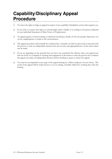## <span id="page-32-0"></span>**Capability/Disciplinary Appeal Procedure**

- 1) You have the right to lodge an appeal in respect of any capability/disciplinary action taken against you.
- 2) If you wish to exercise this right you should apply either verbally or in writing to the person indicated in your individual Statement of Main Terms of Employment.
- 3) An appeal against a formal warning or dismissal should give details of why the penalty imposed is too severe, inappropriate or unfair in the circumstances.
- 4) The appeal procedure will normally be conducted by a member of staff not previously connected with the process so that an independent decision into the severity and appropriateness of the action taken can be made.
- 5) If you are appealing on the grounds that you have not committed the offence, then your appeal may take the form of a complete re-hearing and reappraisal of all matters so that the person who conducts the appeal can make an independent decision before deciding to grant or refuse the appeal.
- 6) You may be accompanied at any stage of the appeal hearing by a fellow employee of your choice. The result of the appeal will be made known to you in writing, normally within five working days after the hearing.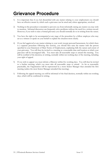## <span id="page-33-0"></span>**Grievance Procedure**

- 1) It is important that if you feel dissatisfied with any matter relating to your employment you should have an effective means by which such a grievance can be aired and, where appropriate, resolved.
- 2) Nothing in this procedure is intended to prevent you from informally raising any matter you may wish to mention. Informal discussion can frequently solve problems without the need for a written record. However, if you wish to raise a formal grievance you should normally do so in writing from the outset.
- 3) You have the right to be accompanied at any stage of the procedure by a fellow employee who may act as a witness or speak on your behalf to explain the situation more clearly.
- 4) If you feel aggrieved at any matter relating to your work (except personal harassment, for which there is a separate procedure following this section), you should first raise the matter with the person specified in your Statement of Main Terms of Employment, explaining fully the nature and extent of your grievance. You will then be invited to a meeting at a reasonable time and location at which your grievance will be investigated fully. You must take all reasonable steps to attend this meeting. You will be notified of the decision, in writing, normally within ten working days of the meeting, including your right of appeal.
- 5) If you wish to appeal you must inform a Director within five working days. You will then be invited to a further meeting, which you must take all reasonable steps to attend. As far as reasonably practicable, the Organisation will be represented by a more Senior Manager than attended the first meeting (unless the most Senior Manager attended that meeting).
- 5) Following the appeal meeting you will be informed of the final decision, normally within ten working days, which will be confirmed in writing.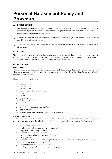## <span id="page-34-0"></span>**Personal Harassment Policy and Procedure**

## <span id="page-34-1"></span>**A) INTRODUCTION**

- 1) Harassment or victimisation on the grounds of the following protected characteristic: age, disability, gender reassignment, marriage and civil partnership, pregnancy or maternity, race, religion or belief, sex or sexual orientation is unacceptable.
- 2) Personal harassment takes many forms but whatever form it takes, it is unlawful under the Equality Act 2010 and will not be tolerated.
- 3) This policy will be reviewed regularly to ensure it remains up to date and in order to monitor its effectiveness.

## **B) SCOPE**

We deplore all forms of personal harassment and seek to ensure that the working environment is sympathetic to all those who work for us. This includes employees, workers, agency workers, volunteers and contractors in all areas of our Company, including any overseas sites.

## **C) DEFINITIONS**

#### **Harassment**

This is unwanted conduct related to a relevant protected characteristic that has the purpose or effect of violating a person's dignity or creating an intimidating, hostile, degrading, humiliating or offensive environment for that person.

Unwanted conduct can include:

- a) spoken words
- b) banter
- c) written words
- d) posts or contact on social media
- e) imagery
- f) graffiti
- g) physical gestures
- h) facial expressions
- i) mimicry
- j) jokes or pranks
- k) acts affecting a person's surroundings
- l) aggression, and
- m) physical behaviour towards a person or their property.

#### **Sexual harassment**

This is unwanted conduct of a sexual nature which has the purpose or effect of violating a person's dignity or creating an intimidating, hostile, degrading, humiliating or offensive environment for that person.

- a) sexual comments or jokes
- b) displaying sexually graphic pictures, posters or photos
- c) suggestive looks, staring or leering
- d) propositions and sexual advances
- e) making promises in return for sexual favours
- f) sexual gestures
- g) intrusive questions about a person's private or sex life or a person discussing their own sex life
- h) sexual posts or contact on social media
- i) spreading sexual rumours about a person
- j) sending sexually explicit emails or text messages, and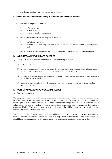k) unwelcome touching, hugging, massaging or kissing.

#### **Less favourable treatment for rejecting or submitting to unwanted conduct**

This occurs when:

- a) someone is subjected to unwanted conduct:
	- i) of a sexual nature
	- ii) related to sex, or
	- iii) related to gender reassignment
- b) the unwanted conduct has the purpose or effect of:
	- i) violating their dignity, or
	- ii) creating an intimidating, hostile degrading, humiliating or offensive environment for them, and
- c) they are treated less favourably because they submitted to, or rejected the unwanted conduct.

#### **D) CIRCUMSTANCES WHICH ARE COVERED**

- 1) This policy covers behaviour which occurs in the following situations:
	- a) a work situation
	- b) a situation occurring outside of the normal workplace or normal working hours which is related to work, for example, a working lunch or social event with colleagues;
	- c) outside of a work situation but against a colleague or other person connected to the Company, including on social media;
	- d) against anyone outside of a work situation where they incident is relevant to their suitability to carry out the role.

#### **E) COMPLAINING ABOUT PERSONAL HARASSMENT**

#### **1) Informal complaint**

We recognise that complaints of personal harassment, and particularly of sexual harassment, can sometimes be of a sensitive or intimate nature and that it may not be appropriate for you to raise the issue through our normal grievance procedure. In these circumstances you are encouraged to raise such issues with a senior colleague of your choice (whether or not that person has a direct supervisory responsibility for you) as a confidential helper. This person cannot be a Senior Manager who will be responsible for investigating the matter if it becomes a formal complaint.

If you are the victim of minor harassment you should make it clear to the harasser on an informal basis that their behaviour is unwelcome and ask the harasser to stop. If you feel unable to do this verbally then you should hand a written request to the harasser, and your confidential helper can assist you in this.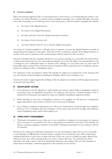#### **2) Formal complaint**

Where the informal approach fails or if the harassment is more serious, you should bring the matter to the attention of a Senior Manager as a formal written complaint and again your confidential helper can assist you in this. If possible, you should keep notes of the harassment so that the written complaint can include:

- a) the name of the alleged harasser;
- b) the nature of the alleged harassment;
- c) the dates and times when the alleged harassment occurred;
- d) the names of any witnesses; and
- e) any action already taken by you to stop the alleged harassment.

On receipt of a formal complaint we will take action to separate you from the alleged harasser to enable an uninterrupted investigation to take place. This may involve a temporary transfer of the alleged harasser to another work area or suspension with contractual pay until the matter has been resolved.

The person dealing with the complaint will invite you to attend a meeting, at a reasonable time and location, to discuss the matter and carry out a thorough investigation. You have the right to be accompanied at such a meeting by your confidential helper or another work colleague of your choice and you must take all reasonable steps to attend. Those involved in the investigation will be expected to act in confidence and any breach of confidence will be a disciplinary matter.

On conclusion of the investigation, which will normally be within ten working days of the meeting with you, the decision of the investigator, detailing the findings, will be sent in writing to you.

You have the right to appeal against the findings of the investigator in accordance with the appeal provisions of the grievance procedure.

## **F) DISCIPLINARY ACTION**

- 1) If the decision is that the allegation is well founded, the harasser will be liable to disciplinary action in accordance with our disciplinary procedure. An employee who receives a formal warning or who is dismissed for harassment may appeal by using our capability/disciplinary appeal procedure.
- 2) When deciding on the level of disciplinary sanction to be applied, we will take into consideration aggravating factors such as abuse of power over a more junior colleague.
- 3) If you bring a complaint of harassment you will not be victimised for having brought the complaint. However if it is concluded that the complaint is both untrue and has been brought with malicious intent, disciplinary action will be taken against you.

## **G) THIRD PARTY HARASSMENT**

1) Third party harassment occurs when one of our workforce is subjected to harassment by someone who is not part of our workforce but who is encountered in connection with work. This includes our clients, customers, suppliers, members of the public. Third party harassment of our workforce will not be tolerated.

Should you be subjected to third party harassment, you are encouraged to report this as soon as possible to your Manager or HR.Should a customer harass a member of our workforce, they will be warned that continued provision of our service to them will cease if they are to act in a similar way again. Should their behaviour recur, they will be informed that our service to them will cease. Any criminal acts will be reported to the police, and we will share information relating to the incident with our other branches to ensure that we maintain a consistent approach to the cessation of our services.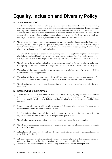# **Equality, Inclusion and Diversity Policy**

## **A) STATEMENT OF POLICY**

- 1) The terms equality, inclusion and diversity are at the heart of this policy. 'Equality' means ensuring everyone has the same opportunities to fulfil their potential free from discrimination. 'Inclusion' means ensuring everyone feels comfortable to be themselves at work and feels the worth of their contribution. 'Diversity' means the celebration of individual differences amongst the workforce. We will actively support diversity and inclusion and ensure that all our employees are valued and treated with dignity and respect. We want to encourage everyone in our business to reach their potential.
- 2) We recognise that discrimination is unacceptable and although equality of opportunity has been a long standing feature of our employment practices and procedure, we have made the decision to adopt a formal policy. Breaches of the policy will lead to disciplinary proceedings and, if appropriate, disciplinary action up to and including dismissal.
- 3) The aim of the policy is to ensure no child, young person, job applicant, employee or worker is discriminated against either directly or indirectly on the grounds of age, disability, gender reassignment, marriage and civil partnership, pregnancy or maternity, race, religion or belief, sex or sexual orientation.
- 4) We will ensure that the policy is circulated to any agencies responsible for our recruitment and a copy of the policy will be made available for all employees and made known to all applicants for employment.
- 5) The policy will be communicated to all private contractors reminding them of their responsibilities towards the equality of opportunity.
- 6) The policy will be implemented in accordance with the appropriate statutory requirements and full account will be taken of all available guidance and in particular any relevant Codes of Practice.
- 7) We will maintain a neutral working environment in which no employee or worker feels under threat or intimidated.

## **B) RECRUITMENT AND SELECTION**

- 1) The recruitment and selection process is crucially important to any equality, inclusion and diversity policy. We will endeavour through appropriate training to ensure that employees making selection and recruitment decisions will not discriminate, whether consciously or unconsciously, in making these decisions.
- 2) Promotion and advancement will be made on merit and all decisions relating to this will be made within the overall framework and principles of this policy.
- 3) Job descriptions, where used, will be revised to ensure that they are in line with this policy. Job requirements will be reflected accurately in any personnel specifications.
- 4) We will adopt a consistent, non-discriminatory approach to the advertising of vacancies.
- 5) We will not confine our recruitment to areas or media sources which provide only, or mainly, applicants of a particular group.
- 6) All applicants who apply for jobs with us will receive fair treatment and will be considered solely on their ability to do the job.
- 7) All employees involved in the recruitment process will periodically review their selection criteria to ensure that they are related to the job requirements and do not unlawfully discriminate.
- 8) Short listing and interviewing will be carried out by more than one person where possible.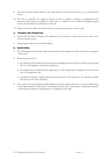- 9) Interview questions will be related to the requirements of the job and will not be of a discriminatory nature.
- 10) We will not disqualify any applicant because he/she is unable to complete an application form unassisted unless personal completion of the form is a valid test of the standard of English required for the safe and effective performance of the job.
- 11) Selection decisions will not be influenced by any perceived prejudices of other staff.

#### **C) TRAINING AND PROMOTION**

- 1) Senior staff will receive training in the application of this policy to ensure that they are aware of its contents and provisions.
- 2) All promotion will be in line with this policy.

#### **D) MONITORING**

- 1) We will maintain and review the employment records of all employees in order to monitor the progress of this policy.
- 2) Monitoring may involve:
	- a) the collection and classification of information regarding the race in terms of ethnic/national origin and sex of all applicants and current employees;
	- b) the examination by ethnic/national origin and sex of the distribution of employees and the success rate of the applicants; and
	- c) recording recruitment, training and promotional records of all employees, the decisions reached and the reason for those decisions.
- 3) The results of any monitoring procedure will be reviewed at regular intervals to assess the effectiveness of the implementation of this policy. Consideration will be given, if necessary, to adjusting this policy to afford greater equality of opportunities to all applicants and staff.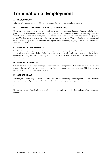# <span id="page-39-0"></span>**Termination of Employment**

## **A) RESIGNATIONS**

All resignations must be supplied in writing, stating the reason for resigning your post.

## **B) TERMINATING EMPLOYMENT WITHOUT GIVING NOTICE**

If you terminate your employment without giving or working the required period of notice, as indicated in your individual Statement of Main Terms of Employment, you will have an amount equal to any additional cost of covering your duties during the notice period not worked deducted from any termination pay due to you. This is an express written term of your contract of employment. You will also forfeit any contractual accrued holiday pay due to you over and above your statutory holiday pay, if you fail to give or work the required period of notice.

## **C) RETURN OF OUR PROPERTY**

On the termination of your employment you must return all our property which is in your possession or for which you have responsibility. Failure to return such items will result in the cost of the items being deducted from any monies outstanding to you. This is an express written term of your contract of employment.

## **D) RETURN OF VEHICLES**

On termination of your employment you must return any to our premises. Failure to return the vehicle will result in the cost of its recovery being deducted from any monies outstanding to you. This is an express written term of your contract of employment.

## **E) GARDEN LEAVE**

If either you or the Company serves notice on the other to terminate your employment the Company may require you to take "garden leave" for all or part of the remaining period of your employment.

NB.

During any period of garden leave you will continue to receive your full salary and any other contractual benefits.